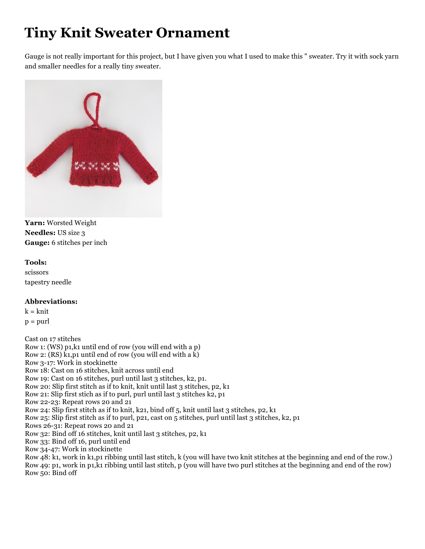## **Tiny Knit Sweater Ornament**

Gauge is not really important for this project, but I have given you what I used to make this " sweater. Try it with sock yarn and smaller needles for a really tiny sweater.



**Yarn:** Worsted Weight **Needles:** US size 3 **Gauge:** 6 stitches per inch

## **Tools:**

scissors tapestry needle

## **Abbreviations:**

 $k = k$ nit  $p = \text{purl}$ 

Cast on 17 stitches Row 1: (WS) p1,k1 until end of row (you will end with a p) Row 2:  $(RS)$  k<sub>1</sub>,p<sub>1</sub> until end of row (you will end with a k) Row 3-17: Work in stockinette Row 18: Cast on 16 stitches, knit across until end Row 19: Cast on 16 stitches, purl until last 3 stitches, k2, p1. Row 20: Slip first stitch as if to knit, knit until last 3 stitches, p2, k1 Row 21: Slip first stich as if to purl, purl until last 3 stitches k2, p1 Row 22-23: Repeat rows 20 and 21 Row 24: Slip first stitch as if to knit, k21, bind off 5, knit until last 3 stitches, p2, k1 Row 25: Slip first stitch as if to purl, p21, cast on 5 stitches, purl until last 3 stitches, k2, p1 Rows 26-31: Repeat rows 20 and 21 Row 32: Bind off 16 stitches, knit until last 3 stitches, p2, k1 Row 33: Bind off 16, purl until end Row 34-47: Work in stockinette Row 48: k1, work in k1,p1 ribbing until last stitch, k (you will have two knit stitches at the beginning and end of the row.) Row 49: p1, work in p1,k1 ribbing until last stitch, p (you will have two purl stitches at the beginning and end of the row) Row 50: Bind off